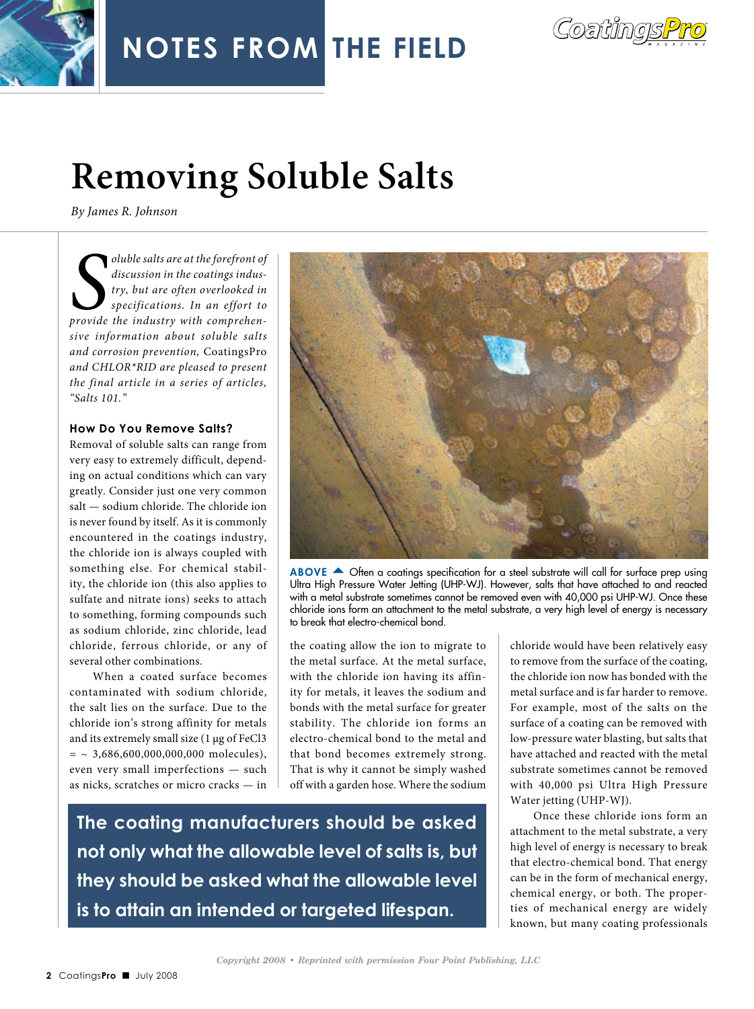

## **Removing Soluble Salts**

*By James R. Johnson*

*S provide the industry with comprehenoluble salts are at the forefront of discussion in the coatings industry, but are often overlooked in specifications. In an effort to sive information about soluble salts and corrosion prevention,* CoatingsPro *and CHLOR\*RID are pleased to present the final article in a series of articles, "Salts 101."*

## **How Do You Remove Salts?**

Removal of soluble salts can range from very easy to extremely difficult, depending on actual conditions which can vary greatly. Consider just one very common salt — sodium chloride. The chloride ion is never found by itself. As it is commonly encountered in the coatings industry, the chloride ion is always coupled with something else. For chemical stability, the chloride ion (this also applies to sulfate and nitrate ions) seeks to attach to something, forming compounds such as sodium chloride, zinc chloride, lead chloride, ferrous chloride, or any of several other combinations.

When a coated surface becomes contaminated with sodium chloride, the salt lies on the surface. Due to the chloride ion's strong affinity for metals and its extremely small size (1 µg of FeCl3  $=$  ~ 3,686,600,000,000,000 molecules), even very small imperfections — such as nicks, scratches or micro cracks — in



ABOVE  $\triangle$  Often a coatings specification for a steel substrate will call for surface prep using Ultra High Pressure Water Jetting (UHP-WJ). However, salts that have attached to and reacted with a metal substrate sometimes cannot be removed even with 40,000 psi UHP-WJ. Once these chloride ions form an attachment to the metal substrate, a very high level of energy is necessary to break that electro-chemical bond.

the coating allow the ion to migrate to the metal surface. At the metal surface, with the chloride ion having its affinity for metals, it leaves the sodium and bonds with the metal surface for greater stability. The chloride ion forms an electro-chemical bond to the metal and that bond becomes extremely strong. That is why it cannot be simply washed off with a garden hose. Where the sodium

**The coating manufacturers should be asked not only what the allowable level of salts is, but they should be asked what the allowable level is to attain an intended or targeted lifespan.**

chloride would have been relatively easy to remove from the surface of the coating, the chloride ion now has bonded with the metal surface and is far harder to remove. For example, most of the salts on the surface of a coating can be removed with low-pressure water blasting, but salts that have attached and reacted with the metal substrate sometimes cannot be removed with 40,000 psi Ultra High Pressure Water jetting (UHP-WJ).

Once these chloride ions form an attachment to the metal substrate, a very high level of energy is necessary to break that electro-chemical bond. That energy can be in the form of mechanical energy, chemical energy, or both. The properties of mechanical energy are widely known, but many coating professionals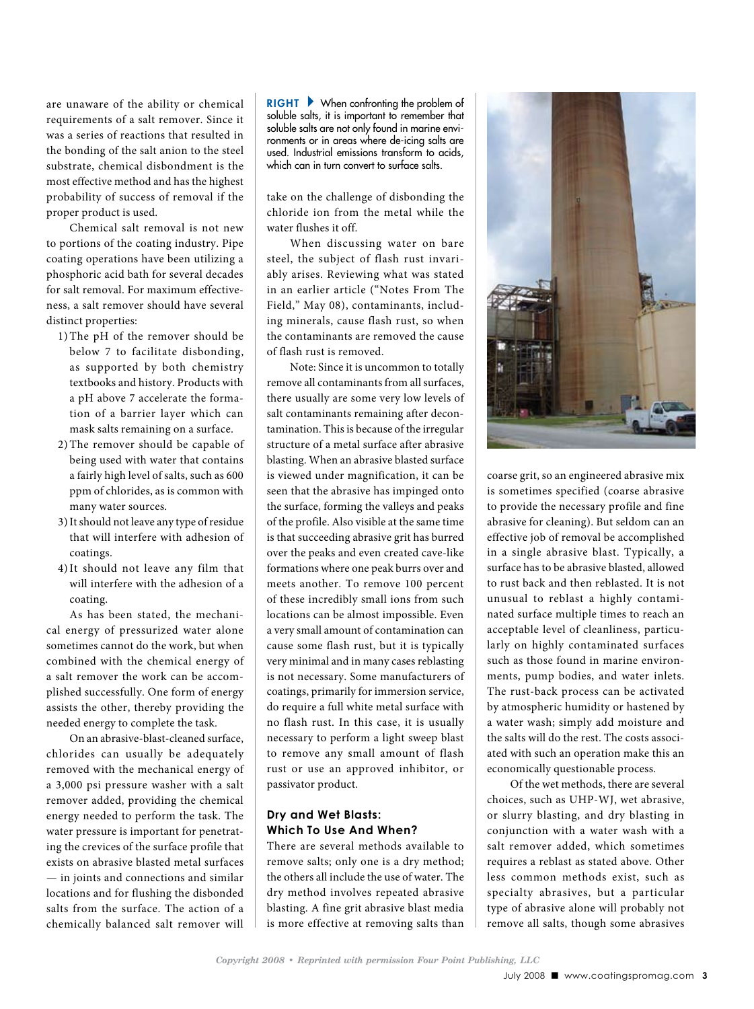are unaware of the ability or chemical requirements of a salt remover. Since it was a series of reactions that resulted in the bonding of the salt anion to the steel substrate, chemical disbondment is the most effective method and has the highest probability of success of removal if the proper product is used.

Chemical salt removal is not new to portions of the coating industry. Pipe coating operations have been utilizing a phosphoric acid bath for several decades for salt removal. For maximum effectiveness, a salt remover should have several distinct properties:

- 1) The pH of the remover should be below 7 to facilitate disbonding, as supported by both chemistry textbooks and history. Products with a pH above 7 accelerate the formation of a barrier layer which can mask salts remaining on a surface.
- 2) The remover should be capable of being used with water that contains a fairly high level of salts, such as 600 ppm of chlorides, as is common with many water sources.
- 3)It should not leave any type of residue that will interfere with adhesion of coatings.
- 4)It should not leave any film that will interfere with the adhesion of a coating.

As has been stated, the mechanical energy of pressurized water alone sometimes cannot do the work, but when combined with the chemical energy of a salt remover the work can be accomplished successfully. One form of energy assists the other, thereby providing the needed energy to complete the task.

On an abrasive-blast-cleaned surface, chlorides can usually be adequately removed with the mechanical energy of a 3,000 psi pressure washer with a salt remover added, providing the chemical energy needed to perform the task. The water pressure is important for penetrating the crevices of the surface profile that exists on abrasive blasted metal surfaces — in joints and connections and similar locations and for flushing the disbonded salts from the surface. The action of a chemically balanced salt remover will

 $RIGHT \rightarrow$  When confronting the problem of soluble salts, it is important to remember that soluble salts are not only found in marine environments or in areas where de-icing salts are used. Industrial emissions transform to acids, which can in turn convert to surface salts.

take on the challenge of disbonding the chloride ion from the metal while the water flushes it off.

When discussing water on bare steel, the subject of flash rust invariably arises. Reviewing what was stated in an earlier article ("Notes From The Field," May 08), contaminants, including minerals, cause flash rust, so when the contaminants are removed the cause of flash rust is removed.

Note: Since it is uncommon to totally remove all contaminants from all surfaces, there usually are some very low levels of salt contaminants remaining after decontamination. This is because of the irregular structure of a metal surface after abrasive blasting. When an abrasive blasted surface is viewed under magnification, it can be seen that the abrasive has impinged onto the surface, forming the valleys and peaks of the profile. Also visible at the same time is that succeeding abrasive grit has burred over the peaks and even created cave-like formations where one peak burrs over and meets another. To remove 100 percent of these incredibly small ions from such locations can be almost impossible. Even a very small amount of contamination can cause some flash rust, but it is typically very minimal and in many cases reblasting is not necessary. Some manufacturers of coatings, primarily for immersion service, do require a full white metal surface with no flash rust. In this case, it is usually necessary to perform a light sweep blast to remove any small amount of flash rust or use an approved inhibitor, or passivator product.

## **Dry and Wet Blasts: Which To Use And When?**

There are several methods available to remove salts; only one is a dry method; the others all include the use of water. The dry method involves repeated abrasive blasting. A fine grit abrasive blast media is more effective at removing salts than



coarse grit, so an engineered abrasive mix is sometimes specified (coarse abrasive to provide the necessary profile and fine abrasive for cleaning). But seldom can an effective job of removal be accomplished in a single abrasive blast. Typically, a surface has to be abrasive blasted, allowed to rust back and then reblasted. It is not unusual to reblast a highly contaminated surface multiple times to reach an acceptable level of cleanliness, particularly on highly contaminated surfaces such as those found in marine environments, pump bodies, and water inlets. The rust-back process can be activated by atmospheric humidity or hastened by a water wash; simply add moisture and the salts will do the rest. The costs associated with such an operation make this an economically questionable process.

Of the wet methods, there are several choices, such as UHP-WJ, wet abrasive, or slurry blasting, and dry blasting in conjunction with a water wash with a salt remover added, which sometimes requires a reblast as stated above. Other less common methods exist, such as specialty abrasives, but a particular type of abrasive alone will probably not remove all salts, though some abrasives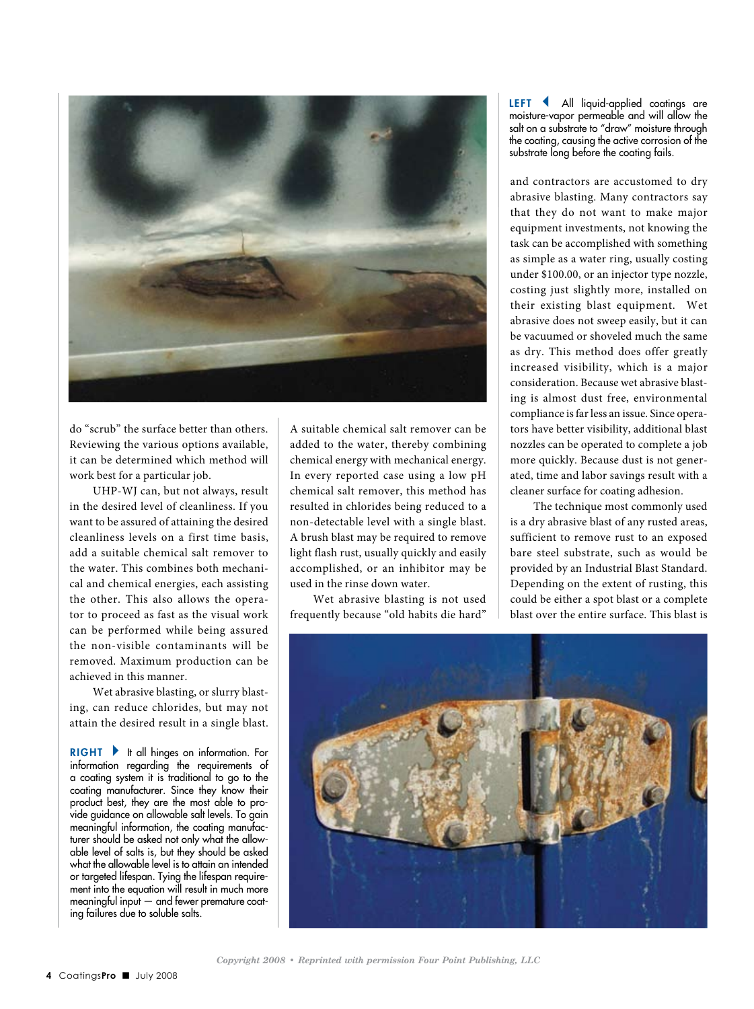

do "scrub" the surface better than others. Reviewing the various options available, it can be determined which method will work best for a particular job.

UHP-WJ can, but not always, result in the desired level of cleanliness. If you want to be assured of attaining the desired cleanliness levels on a first time basis, add a suitable chemical salt remover to the water. This combines both mechanical and chemical energies, each assisting the other. This also allows the operator to proceed as fast as the visual work can be performed while being assured the non-visible contaminants will be removed. Maximum production can be achieved in this manner.

Wet abrasive blasting, or slurry blasting, can reduce chlorides, but may not attain the desired result in a single blast.

 $RIGHT \rightarrow$  It all hinges on information. For information regarding the requirements of a coating system it is traditional to go to the coating manufacturer. Since they know their product best, they are the most able to provide guidance on allowable salt levels. To gain meaningful information, the coating manufacturer should be asked not only what the allowable level of salts is, but they should be asked what the allowable level is to attain an intended or targeted lifespan. Tying the lifespan requirement into the equation will result in much more meaningful input — and fewer premature coating failures due to soluble salts.

A suitable chemical salt remover can be added to the water, thereby combining chemical energy with mechanical energy. In every reported case using a low pH chemical salt remover, this method has resulted in chlorides being reduced to a non-detectable level with a single blast. A brush blast may be required to remove light flash rust, usually quickly and easily accomplished, or an inhibitor may be used in the rinse down water.

Wet abrasive blasting is not used frequently because "old habits die hard"

LEFT < All liquid-applied coatings are moisture-vapor permeable and will allow the salt on a substrate to "draw" moisture through the coating, causing the active corrosion of the substrate long before the coating fails.

and contractors are accustomed to dry abrasive blasting. Many contractors say that they do not want to make major equipment investments, not knowing the task can be accomplished with something as simple as a water ring, usually costing under \$100.00, or an injector type nozzle, costing just slightly more, installed on their existing blast equipment. Wet abrasive does not sweep easily, but it can be vacuumed or shoveled much the same as dry. This method does offer greatly increased visibility, which is a major consideration. Because wet abrasive blasting is almost dust free, environmental compliance is far less an issue. Since operators have better visibility, additional blast nozzles can be operated to complete a job more quickly. Because dust is not generated, time and labor savings result with a cleaner surface for coating adhesion.

The technique most commonly used is a dry abrasive blast of any rusted areas, sufficient to remove rust to an exposed bare steel substrate, such as would be provided by an Industrial Blast Standard. Depending on the extent of rusting, this could be either a spot blast or a complete blast over the entire surface. This blast is